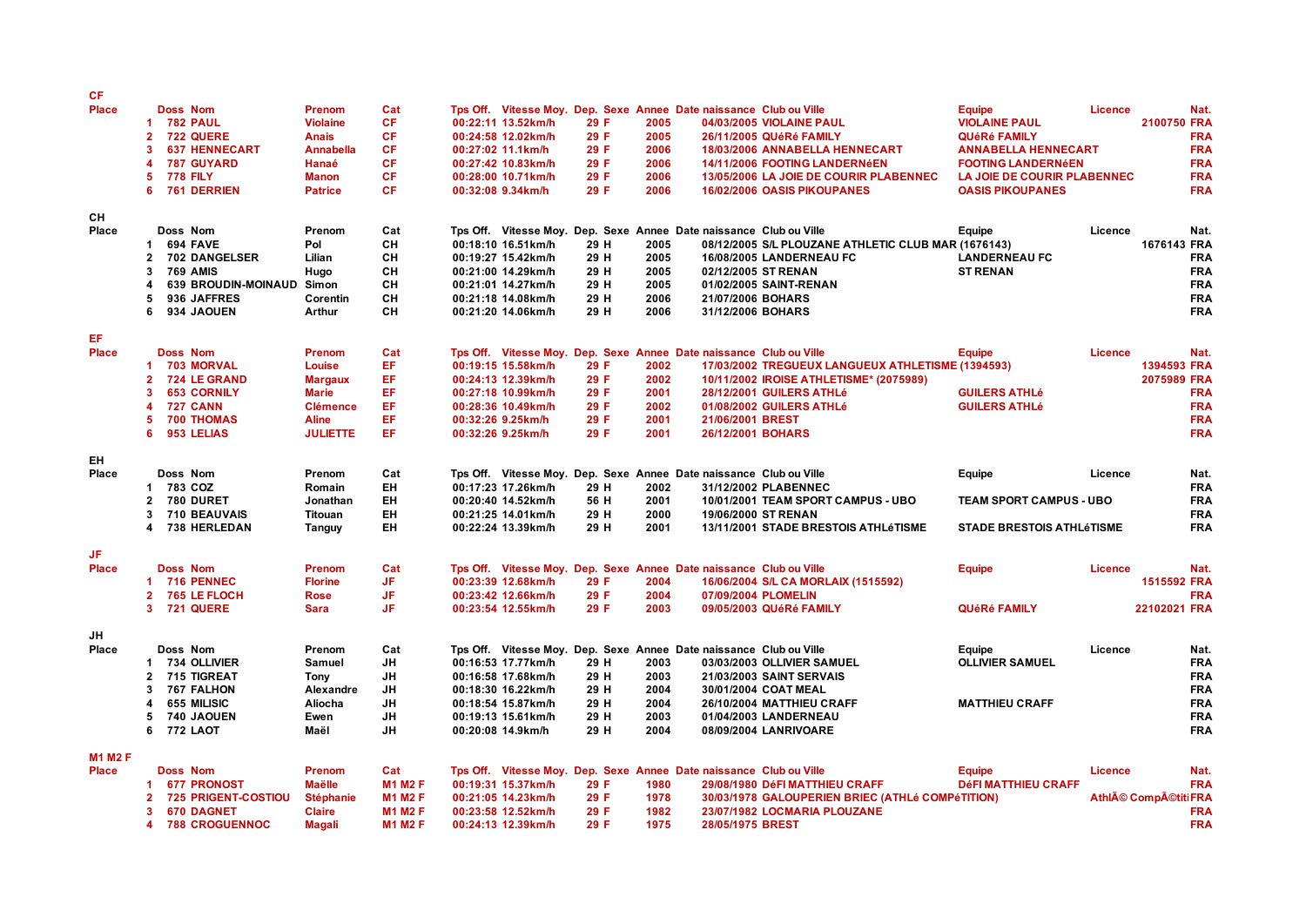| СF                  |                                                |                                |                |                    |              |              |                                                                    |                                                     |                                  |                |                            |            |
|---------------------|------------------------------------------------|--------------------------------|----------------|--------------------|--------------|--------------|--------------------------------------------------------------------|-----------------------------------------------------|----------------------------------|----------------|----------------------------|------------|
| <b>Place</b>        | <b>Doss Nom</b>                                | Prenom                         | Cat            |                    |              |              | Tps Off. Vitesse Moy. Dep. Sexe Annee Date naissance Club ou Ville |                                                     | <b>Equipe</b>                    | Licence        |                            | Nat.       |
|                     | <b>782 PAUL</b><br>1                           | <b>Violaine</b>                | <b>CF</b>      | 00:22:11 13.52km/h | 29 F         | 2005         |                                                                    | 04/03/2005 VIOLAINE PAUL                            | <b>VIOLAINE PAUL</b>             |                | 2100750 FRA                |            |
|                     | 722 QUERE<br>$\mathbf{2}$                      | <b>Anais</b>                   | CF             | 00:24:58 12.02km/h | 29 F         | 2005         |                                                                    | 26/11/2005 QUéRé FAMILY                             | QUéRé FAMILY                     |                |                            | <b>FRA</b> |
|                     | <b>637 HENNECART</b><br>3                      | <b>Annabella</b>               | <b>CF</b>      | 00:27:02 11.1km/h  | 29 F         | 2006         |                                                                    | 18/03/2006 ANNABELLA HENNECART                      | <b>ANNABELLA HENNECART</b>       |                |                            | <b>FRA</b> |
|                     | 4<br><b>787 GUYARD</b>                         | Hanaé                          | CF             | 00:27:42 10.83km/h | 29 F         | 2006         |                                                                    | 14/11/2006 FOOTING LANDERNÉEN                       | <b>FOOTING LANDERNÉEN</b>        |                |                            | <b>FRA</b> |
|                     | <b>778 FILY</b><br>5                           | <b>Manon</b>                   | CF             | 00:28:00 10.71km/h | 29 F         | 2006         |                                                                    | 13/05/2006 LA JOIE DE COURIR PLABENNEC              | LA JOIE DE COURIR PLABENNEC      |                |                            | <b>FRA</b> |
|                     | 6<br>761 DERRIEN                               | <b>Patrice</b>                 | CF             | 00:32:08 9.34km/h  | 29 F         | 2006         |                                                                    | 16/02/2006 OASIS PIKOUPANES                         | <b>OASIS PIKOUPANES</b>          |                |                            | <b>FRA</b> |
|                     |                                                |                                |                |                    |              |              |                                                                    |                                                     |                                  |                |                            |            |
| CH                  |                                                |                                |                |                    |              |              |                                                                    |                                                     |                                  |                |                            |            |
| Place               | Doss Nom                                       | Prenom                         | Cat            |                    |              |              | Tps Off. Vitesse Moy. Dep. Sexe Annee Date naissance Club ou Ville |                                                     | Equipe                           | Licence        |                            | Nat.       |
|                     | 694 FAVE<br>1                                  | Pol                            | CН             | 00:18:10 16.51km/h | 29 H         | 2005         |                                                                    | 08/12/2005 S/L PLOUZANE ATHLETIC CLUB MAR (1676143) |                                  |                | 1676143 FRA                |            |
|                     | 702 DANGELSER<br>$\mathbf{2}$                  | Lilian                         | CН             | 00:19:27 15.42km/h | 29 H         | 2005         |                                                                    | <b>16/08/2005 LANDERNEAU FC</b>                     | <b>LANDERNEAU FC</b>             |                |                            | <b>FRA</b> |
|                     | 3<br><b>769 AMIS</b>                           | Hugo                           | CH             | 00:21:00 14.29km/h | 29 H         | 2005         | 02/12/2005 ST RENAN                                                |                                                     | <b>ST RENAN</b>                  |                |                            | <b>FRA</b> |
|                     | <b>639 BROUDIN-MOINAUD</b><br>4                | Simon                          | CH             | 00:21:01 14.27km/h | 29 H         | 2005         |                                                                    | 01/02/2005 SAINT-RENAN                              |                                  |                |                            | <b>FRA</b> |
|                     | 936 JAFFRES<br>5                               | Corentin                       | CH             | 00:21:18 14.08km/h | 29 H         | 2006         | 21/07/2006 BOHARS                                                  |                                                     |                                  |                |                            | <b>FRA</b> |
|                     | 6<br><b>934 JAOUEN</b>                         | Arthur                         | CH             | 00:21:20 14.06km/h | 29 H         | 2006         | 31/12/2006 BOHARS                                                  |                                                     |                                  |                |                            | <b>FRA</b> |
|                     |                                                |                                |                |                    |              |              |                                                                    |                                                     |                                  |                |                            |            |
| EF.<br><b>Place</b> | <b>Doss Nom</b>                                |                                | Cat            |                    |              |              |                                                                    |                                                     |                                  | <b>Licence</b> |                            | Nat.       |
|                     |                                                | <b>Prenom</b>                  | EF.            |                    |              |              | Tps Off. Vitesse Moy. Dep. Sexe Annee Date naissance Club ou Ville |                                                     | <b>Equipe</b>                    |                |                            |            |
|                     | <b>703 MORVAL</b><br>-1<br><b>724 LE GRAND</b> | Louise                         |                | 00:19:15 15.58km/h | 29 F         | 2002         |                                                                    | 17/03/2002 TREGUEUX LANGUEUX ATHLETISME (1394593)   |                                  |                | 1394593 FRA<br>2075989 FRA |            |
|                     | $\mathbf{2}$<br><b>653 CORNILY</b><br>3        | <b>Margaux</b><br><b>Marie</b> | EF.<br>EF.     | 00:24:13 12.39km/h | 29 F<br>29 F | 2002<br>2001 |                                                                    | 10/11/2002 IROISE ATHLETISME* (2075989)             |                                  |                |                            |            |
|                     |                                                |                                |                | 00:27:18 10.99km/h |              |              |                                                                    | 28/12/2001 GUILERS ATHLé                            | <b>GUILERS ATHLé</b>             |                |                            | <b>FRA</b> |
|                     | <b>727 CANN</b><br>4                           | <b>Clémence</b>                | EF.            | 00:28:36 10.49km/h | 29 F         | 2002         |                                                                    | 01/08/2002 GUILERS ATHLé                            | <b>GUILERS ATHLé</b>             |                |                            | <b>FRA</b> |
|                     | 5<br><b>700 THOMAS</b><br>6                    | <b>Aline</b>                   | EF.<br>EF.     | 00:32:26 9.25km/h  | 29 F         | 2001         | 21/06/2001 BREST                                                   |                                                     |                                  |                |                            | <b>FRA</b> |
|                     | 953 LELIAS                                     | <b>JULIETTE</b>                |                | 00:32:26 9.25km/h  | 29 F         | 2001         | 26/12/2001 BOHARS                                                  |                                                     |                                  |                |                            | <b>FRA</b> |
| EH                  |                                                |                                |                |                    |              |              |                                                                    |                                                     |                                  |                |                            |            |
| Place               | Doss Nom                                       | Prenom                         | Cat            |                    |              |              | Tps Off. Vitesse Moy. Dep. Sexe Annee Date naissance Club ou Ville |                                                     | Equipe                           | Licence        |                            | Nat.       |
|                     | 783 COZ<br>1                                   | Romain                         | <b>EH</b>      | 00:17:23 17.26km/h | 29 H         | 2002         |                                                                    | 31/12/2002 PLABENNEC                                |                                  |                |                            | <b>FRA</b> |
|                     | 780 DURET<br>$\mathbf{2}$                      | Jonathan                       | EH             | 00:20:40 14.52km/h | 56 H         | 2001         |                                                                    | 10/01/2001 TEAM SPORT CAMPUS - UBO                  | <b>TEAM SPORT CAMPUS - UBO</b>   |                |                            | <b>FRA</b> |
|                     | 710 BEAUVAIS<br>3                              | <b>Titouan</b>                 | EH             | 00:21:25 14.01km/h | 29 H         | 2000         | 19/06/2000 ST RENAN                                                |                                                     |                                  |                |                            | <b>FRA</b> |
|                     | 4<br><b>738 HERLEDAN</b>                       | Tanguy                         | <b>EH</b>      | 00:22:24 13.39km/h | 29 H         | 2001         |                                                                    | 13/11/2001 STADE BRESTOIS ATHLéTISME                | <b>STADE BRESTOIS ATHLÉTISME</b> |                |                            | <b>FRA</b> |
|                     |                                                |                                |                |                    |              |              |                                                                    |                                                     |                                  |                |                            |            |
| JF.                 |                                                |                                |                |                    |              |              |                                                                    |                                                     |                                  |                |                            |            |
| <b>Place</b>        | <b>Doss Nom</b>                                | Prenom                         | Cat            |                    |              |              | Tps Off. Vitesse Moy. Dep. Sexe Annee Date naissance Club ou Ville |                                                     | <b>Equipe</b>                    | <b>Licence</b> |                            | Nat.       |
|                     | <b>716 PENNEC</b><br>-1                        | <b>Florine</b>                 | JF             | 00:23:39 12.68km/h | 29 F         | 2004         |                                                                    | 16/06/2004 S/L CA MORLAIX (1515592)                 |                                  |                | 1515592 FRA                |            |
|                     | <b>765 LE FLOCH</b><br>$\mathbf{2}$            | Rose                           | JF             | 00:23:42 12.66km/h | 29 F         | 2004         | 07/09/2004 PLOMELIN                                                |                                                     |                                  |                |                            | <b>FRA</b> |
|                     | 3 721 QUERE                                    | <b>Sara</b>                    | JF.            | 00:23:54 12.55km/h | 29 F         | 2003         |                                                                    | 09/05/2003 QUéRé FAMILY                             | QUéRé FAMILY                     |                | 22102021 FRA               |            |
|                     |                                                |                                |                |                    |              |              |                                                                    |                                                     |                                  |                |                            |            |
| JH                  |                                                |                                |                |                    |              |              |                                                                    |                                                     |                                  |                |                            |            |
| Place               | Doss Nom                                       | Prenom                         | Cat            |                    |              |              | Tps Off. Vitesse Moy. Dep. Sexe Annee Date naissance Club ou Ville |                                                     | Equipe                           | Licence        |                            | Nat.       |
|                     | 734 OLLIVIER<br>1                              | Samuel                         | JH             | 00:16:53 17.77km/h | 29 H         | 2003         |                                                                    | 03/03/2003 OLLIVIER SAMUEL                          | <b>OLLIVIER SAMUEL</b>           |                |                            | <b>FRA</b> |
|                     | 2<br>715 TIGREAT                               | <b>Tony</b>                    | JH             | 00:16:58 17.68km/h | 29 H         | 2003         |                                                                    | 21/03/2003 SAINT SERVAIS                            |                                  |                |                            | <b>FRA</b> |
|                     | <b>767 FALHON</b><br>3                         | Alexandre                      | JH             | 00:18:30 16.22km/h | 29 H         | 2004         |                                                                    | 30/01/2004 COAT MEAL                                |                                  |                |                            | <b>FRA</b> |
|                     | 655 MILISIC<br>4                               | Aliocha                        | JH             | 00:18:54 15.87km/h | 29 H         | 2004         |                                                                    | 26/10/2004 MATTHIEU CRAFF                           | <b>MATTHIEU CRAFF</b>            |                |                            | <b>FRA</b> |
|                     | 5<br>740 JAOUEN                                | Ewen                           | JH             | 00:19:13 15.61km/h | 29 H         | 2003         |                                                                    | 01/04/2003 LANDERNEAU                               |                                  |                |                            | <b>FRA</b> |
|                     | 6<br><b>772 LAOT</b>                           | Maël                           | JН             | 00:20:08 14.9km/h  | 29 H         | 2004         |                                                                    | 08/09/2004 LANRIVOARE                               |                                  |                |                            | <b>FRA</b> |
|                     |                                                |                                |                |                    |              |              |                                                                    |                                                     |                                  |                |                            |            |
| <b>M1 M2 F</b>      |                                                |                                |                |                    |              |              |                                                                    |                                                     |                                  |                |                            |            |
| Place               | <b>Doss Nom</b>                                | Prenom                         | Cat            |                    |              |              | Tps Off. Vitesse Moy. Dep. Sexe Annee Date naissance Club ou Ville |                                                     | <b>Equipe</b>                    | <b>Licence</b> |                            | Nat.       |
|                     | <b>677 PRONOST</b><br>1.                       | <b>Maëlle</b>                  | <b>M1 M2 F</b> | 00:19:31 15.37km/h | 29 F         | 1980         |                                                                    | 29/08/1980 DéFI MATTHIEU CRAFF                      | <b>DéFI MATTHIEU CRAFF</b>       |                |                            | <b>FRA</b> |
|                     | <b>725 PRIGENT-COSTIOU</b><br>2                | <b>Stéphanie</b>               | <b>M1 M2 F</b> | 00:21:05 14.23km/h | 29 F         | 1978         |                                                                    | 30/03/1978 GALOUPERIEN BRIEC (ATHLé COMPéTITION)    |                                  |                | Athlé Compétiti FRA        |            |
|                     | 3<br><b>670 DAGNET</b>                         | <b>Claire</b>                  | <b>M1 M2 F</b> | 00:23:58 12.52km/h | 29 F         | 1982         |                                                                    | 23/07/1982 LOCMARIA PLOUZANE                        |                                  |                |                            | <b>FRA</b> |
|                     | <b>788 CROGUENNOC</b><br>4                     | <b>Magali</b>                  | <b>M1 M2 F</b> | 00:24:13 12.39km/h | 29 F         | 1975         | 28/05/1975 BREST                                                   |                                                     |                                  |                |                            | <b>FRA</b> |
|                     |                                                |                                |                |                    |              |              |                                                                    |                                                     |                                  |                |                            |            |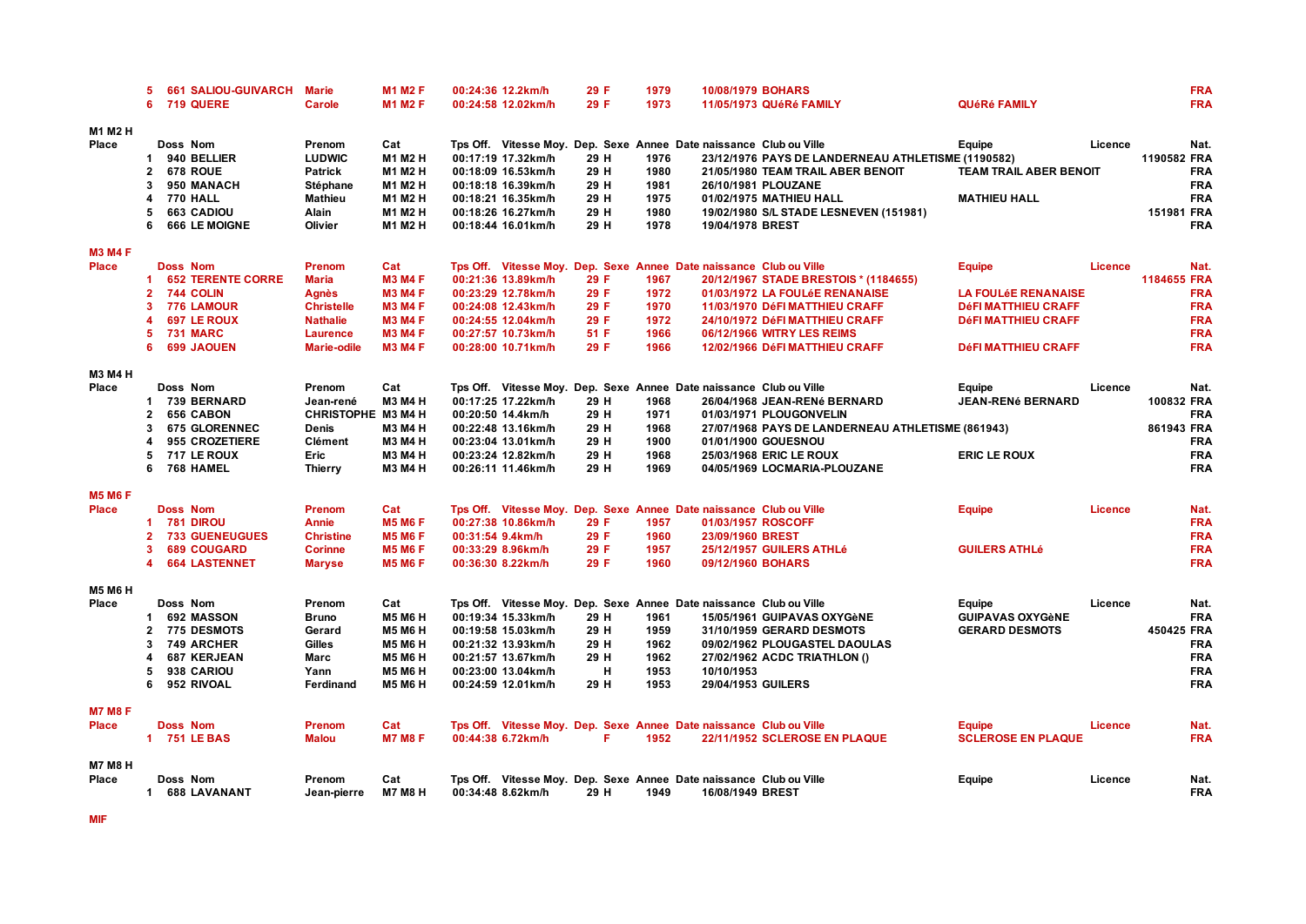|                         | 5.             | <b>661 SALIOU-GUIVARCH</b> | <b>Marie</b>       | <b>M1 M2 F</b> |                  | 00:24:36 12.2km/h  | 29 F | 1979 |                                                                    | 10/08/1979 BOHARS                                  |                               |                | <b>FRA</b>  |
|-------------------------|----------------|----------------------------|--------------------|----------------|------------------|--------------------|------|------|--------------------------------------------------------------------|----------------------------------------------------|-------------------------------|----------------|-------------|
|                         | 6              | 719 QUERE                  | Carole             | <b>M1 M2 F</b> |                  | 00:24:58 12.02km/h | 29 F | 1973 |                                                                    | 11/05/1973 QUéRé FAMILY                            | <b>QUéRé FAMILY</b>           |                | <b>FRA</b>  |
| M1 M2 H                 |                |                            |                    |                |                  |                    |      |      |                                                                    |                                                    |                               |                |             |
| Place                   |                | Doss Nom                   | Prenom             | Cat            |                  |                    |      |      | Tps Off. Vitesse Moy. Dep. Sexe Annee Date naissance Club ou Ville |                                                    | Equipe                        | Licence        | Nat.        |
|                         | 1              | 940 BELLIER                | <b>LUDWIC</b>      | M1 M2 H        |                  | 00:17:19 17.32km/h | 29 H | 1976 |                                                                    | 23/12/1976 PAYS DE LANDERNEAU ATHLETISME (1190582) |                               |                | 1190582 FRA |
|                         | $\overline{2}$ | 678 ROUE                   | <b>Patrick</b>     | M1 M2 H        |                  | 00:18:09 16.53km/h | 29 H | 1980 |                                                                    | 21/05/1980 TEAM TRAIL ABER BENOIT                  | <b>TEAM TRAIL ABER BENOIT</b> |                | <b>FRA</b>  |
|                         | 3              | 950 MANACH                 | Stéphane           | M1 M2 H        |                  | 00:18:18 16.39km/h | 29 H | 1981 |                                                                    | 26/10/1981 PLOUZANE                                |                               |                | <b>FRA</b>  |
|                         | 4              | <b>770 HALL</b>            | <b>Mathieu</b>     | M1 M2 H        |                  | 00:18:21 16.35km/h | 29 H | 1975 |                                                                    | 01/02/1975 MATHIEU HALL                            | <b>MATHIEU HALL</b>           |                | <b>FRA</b>  |
|                         | 5              | 663 CADIOU                 | Alain              | M1 M2 H        |                  | 00:18:26 16.27km/h | 29 H | 1980 |                                                                    | 19/02/1980 S/L STADE LESNEVEN (151981)             |                               |                | 151981 FRA  |
|                         | 6              | 666 LE MOIGNE              | Olivier            | M1 M2 H        |                  | 00:18:44 16.01km/h | 29 H | 1978 | 19/04/1978 BREST                                                   |                                                    |                               |                | <b>FRA</b>  |
| <b>M3 M4 F</b>          |                |                            |                    |                |                  |                    |      |      |                                                                    |                                                    |                               |                |             |
| <b>Place</b>            |                | <b>Doss Nom</b>            | <b>Prenom</b>      | Cat            |                  |                    |      |      | Tps Off. Vitesse Moy. Dep. Sexe Annee Date naissance Club ou Ville |                                                    | <b>Equipe</b>                 | <b>Licence</b> | Nat.        |
|                         | 1              | <b>652 TERENTE CORRE</b>   | <b>Maria</b>       | <b>M3 M4 F</b> |                  | 00:21:36 13.89km/h | 29 F | 1967 |                                                                    | 20/12/1967 STADE BRESTOIS * (1184655)              |                               |                | 1184655 FRA |
|                         | $\mathbf{2}$   | 744 COLIN                  | Agnès              | <b>M3 M4 F</b> |                  | 00:23:29 12.78km/h | 29 F | 1972 |                                                                    | 01/03/1972 LA FOULÉE RENANAISE                     | <b>LA FOULÉE RENANAISE</b>    |                | <b>FRA</b>  |
|                         | 3              | 776 LAMOUR                 | <b>Christelle</b>  | <b>M3 M4 F</b> |                  | 00:24:08 12.43km/h | 29 F | 1970 |                                                                    | 11/03/1970 DéFI MATTHIEU CRAFF                     | <b>DéFI MATTHIEU CRAFF</b>    |                | <b>FRA</b>  |
|                         | Δ              | <b>697 LE ROUX</b>         | <b>Nathalie</b>    | <b>M3 M4 F</b> |                  | 00:24:55 12.04km/h | 29 F | 1972 |                                                                    | 24/10/1972 DéFI MATTHIEU CRAFF                     | <b>DéFI MATTHIEU CRAFF</b>    |                | <b>FRA</b>  |
|                         | 5              | <b>731 MARC</b>            | <b>Laurence</b>    | <b>M3 M4 F</b> |                  | 00:27:57 10.73km/h | 51 F | 1966 |                                                                    | 06/12/1966 WITRY LES REIMS                         |                               |                | <b>FRA</b>  |
|                         | 6              | <b>699 JAOUEN</b>          | <b>Marie-odile</b> | <b>M3 M4 F</b> |                  | 00:28:00 10.71km/h | 29 F | 1966 |                                                                    | 12/02/1966 DéFI MATTHIEU CRAFF                     | <b>DéFI MATTHIEU CRAFF</b>    |                | <b>FRA</b>  |
|                         |                |                            |                    |                |                  |                    |      |      |                                                                    |                                                    |                               |                |             |
| M3 M4 H                 |                |                            |                    |                |                  |                    |      |      |                                                                    |                                                    |                               |                |             |
| Place                   |                | Doss Nom                   | Prenom             | Cat            |                  |                    |      |      | Tps Off. Vitesse Moy. Dep. Sexe Annee Date naissance Club ou Ville |                                                    | Equipe                        | Licence        | Nat.        |
|                         | 1.             | <b>739 BERNARD</b>         | Jean-rené          | M3 M4 H        |                  | 00:17:25 17.22km/h | 29 H | 1968 |                                                                    | 26/04/1968 JEAN-RENé BERNARD                       | <b>JEAN-RENé BERNARD</b>      |                | 100832 FRA  |
|                         | $\overline{2}$ | <b>656 CABON</b>           | CHRISTOPHE M3 M4 H |                |                  | 00:20:50 14.4km/h  | 29 H | 1971 |                                                                    | 01/03/1971 PLOUGONVELIN                            |                               |                | <b>FRA</b>  |
|                         | 3              | <b>675 GLORENNEC</b>       | Denis              | <b>M3 M4 H</b> |                  | 00:22:48 13.16km/h | 29 H | 1968 |                                                                    | 27/07/1968 PAYS DE LANDERNEAU ATHLETISME (861943)  |                               |                | 861943 FRA  |
|                         | 4              | 955 CROZETIERE             | <b>Clément</b>     | <b>M3 M4 H</b> |                  | 00:23:04 13.01km/h | 29 H | 1900 |                                                                    | 01/01/1900 GOUESNOU                                |                               |                | <b>FRA</b>  |
|                         | 5              | <b>717 LE ROUX</b>         | Eric               | <b>M3 M4 H</b> |                  | 00:23:24 12.82km/h | 29 H | 1968 |                                                                    | 25/03/1968 ERIC LE ROUX                            | <b>ERIC LE ROUX</b>           |                | <b>FRA</b>  |
|                         | 6              | 768 HAMEL                  | <b>Thierry</b>     | M3 M4 H        |                  | 00:26:11 11.46km/h | 29 H | 1969 |                                                                    | 04/05/1969 LOCMARIA-PLOUZANE                       |                               |                | <b>FRA</b>  |
| <b>M5 M6 F</b>          |                |                            |                    |                |                  |                    |      |      |                                                                    |                                                    |                               |                |             |
| Place                   |                | <b>Doss Nom</b>            | Prenom             | Cat            |                  |                    |      |      | Tps Off. Vitesse Moy. Dep. Sexe Annee Date naissance Club ou Ville |                                                    | <b>Equipe</b>                 | Licence        | Nat.        |
|                         | 1.             | <b>781 DIROU</b>           | Annie              | <b>M5 M6 F</b> |                  | 00:27:38 10.86km/h | 29 F | 1957 |                                                                    | 01/03/1957 ROSCOFF                                 |                               |                | <b>FRA</b>  |
|                         | $\mathbf{2}$   | <b>733 GUENEUGUES</b>      | <b>Christine</b>   | <b>M5 M6 F</b> | 00:31:54 9.4km/h |                    | 29 F | 1960 | 23/09/1960 BREST                                                   |                                                    |                               |                | <b>FRA</b>  |
|                         | 3              | <b>689 COUGARD</b>         | <b>Corinne</b>     | <b>M5 M6 F</b> |                  | 00:33:29 8.96km/h  | 29 F | 1957 |                                                                    | 25/12/1957 GUILERS ATHLé                           | <b>GUILERS ATHLé</b>          |                | <b>FRA</b>  |
|                         | 4              | <b>664 LASTENNET</b>       | <b>Maryse</b>      | <b>M5 M6 F</b> |                  | 00:36:30 8.22km/h  | 29 F | 1960 |                                                                    | 09/12/1960 BOHARS                                  |                               |                | <b>FRA</b>  |
|                         |                |                            |                    |                |                  |                    |      |      |                                                                    |                                                    |                               |                |             |
| <b>M5 M6 H</b><br>Place |                | Doss Nom                   | Prenom             | Cat            |                  |                    |      |      | Tps Off. Vitesse Moy. Dep. Sexe Annee Date naissance Club ou Ville |                                                    | Equipe                        | Licence        | Nat.        |
|                         | 1              | 692 MASSON                 | <b>Bruno</b>       | <b>M5 M6 H</b> |                  | 00:19:34 15.33km/h | 29 H | 1961 |                                                                    | 15/05/1961 GUIPAVAS OXYGèNE                        | <b>GUIPAVAS OXYGèNE</b>       |                | <b>FRA</b>  |
|                         | $\mathbf{2}$   | <b>775 DESMOTS</b>         | Gerard             | <b>M5 M6 H</b> |                  | 00:19:58 15.03km/h | 29 H | 1959 |                                                                    | 31/10/1959 GERARD DESMOTS                          | <b>GERARD DESMOTS</b>         |                | 450425 FRA  |
|                         | 3              | 749 ARCHER                 | <b>Gilles</b>      | <b>M5 M6 H</b> |                  | 00:21:32 13.93km/h | 29 H | 1962 |                                                                    | 09/02/1962 PLOUGASTEL DAOULAS                      |                               |                | <b>FRA</b>  |
|                         | Δ              | 687 KERJEAN                | Marc               | <b>M5 M6 H</b> |                  | 00:21:57 13.67km/h | 29 H | 1962 |                                                                    | 27/02/1962 ACDC TRIATHLON ()                       |                               |                | <b>FRA</b>  |
|                         | 5              | 938 CARIOU                 | Yann               | <b>M5 M6 H</b> |                  | 00:23:00 13.04km/h | н    | 1953 | 10/10/1953                                                         |                                                    |                               |                | <b>FRA</b>  |
|                         | 6              | 952 RIVOAL                 | Ferdinand          | <b>M5 M6 H</b> |                  | 00:24:59 12.01km/h | 29 H | 1953 |                                                                    | 29/04/1953 GUILERS                                 |                               |                | <b>FRA</b>  |
|                         |                |                            |                    |                |                  |                    |      |      |                                                                    |                                                    |                               |                |             |
| <b>M7 M8 F</b>          |                |                            |                    |                |                  |                    |      |      |                                                                    |                                                    |                               |                |             |
| Place                   |                | <b>Doss Nom</b>            | <b>Prenom</b>      | Cat            |                  |                    |      |      | Tps Off. Vitesse Moy. Dep. Sexe Annee Date naissance Club ou Ville |                                                    | <b>Equipe</b>                 | Licence        | Nat.        |
|                         |                | 1 751 LE BAS               | <b>Malou</b>       | <b>M7 M8 F</b> |                  | 00:44:38 6.72km/h  | F    | 1952 |                                                                    | 22/11/1952 SCLEROSE EN PLAQUE                      | <b>SCLEROSE EN PLAQUE</b>     |                | <b>FRA</b>  |
| <b>M7 M8 H</b>          |                |                            |                    |                |                  |                    |      |      |                                                                    |                                                    |                               |                |             |
| Place                   |                | Doss Nom                   | Prenom             | Cat            |                  |                    |      |      | Tps Off. Vitesse Moy. Dep. Sexe Annee Date naissance Club ou Ville |                                                    | Equipe                        | Licence        | Nat.        |
|                         | $\mathbf 1$    | 688 LAVANANT               | Jean-pierre        | <b>M7 M8 H</b> |                  | 00:34:48 8.62km/h  | 29 H | 1949 | 16/08/1949 BREST                                                   |                                                    |                               |                | <b>FRA</b>  |